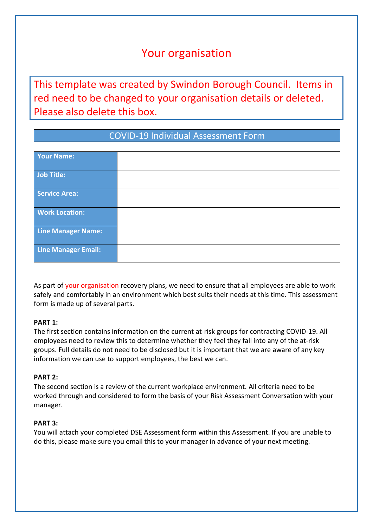# Your organisation

This template was created by Swindon Borough Council. Items in red need to be changed to your organisation details or deleted. Please also delete this box.

# COVID-19 Individual Assessment Form

| Your Name:            |  |
|-----------------------|--|
| Job Title:            |  |
| Service Area:         |  |
| <b>Work Location:</b> |  |
| Line Manager Name:    |  |
| Line Manager Email:   |  |

As part of your organisation recovery plans, we need to ensure that all employees are able to work safely and comfortably in an environment which best suits their needs at this time. This assessment form is made up of several parts.

## **PART 1:**

The first section contains information on the current at-risk groups for contracting COVID-19. All employees need to review this to determine whether they feel they fall into any of the at-risk groups. Full details do not need to be disclosed but it is important that we are aware of any key information we can use to support employees, the best we can.

## **PART 2:**

The second section is a review of the current workplace environment. All criteria need to be worked through and considered to form the basis of your Risk Assessment Conversation with your manager.

#### **PART 3:**

You will attach your completed DSE Assessment form within this Assessment. If you are unable to do this, please make sure you email this to your manager in advance of your next meeting.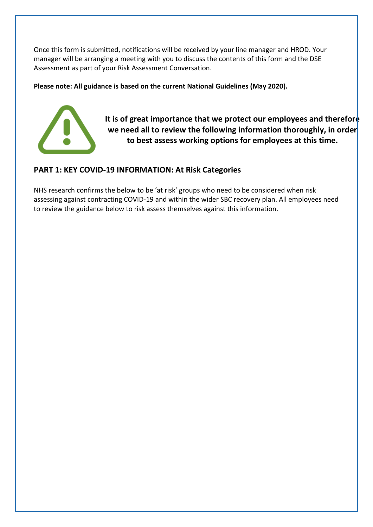Once this form is submitted, notifications will be received by your line manager and HROD. Your manager will be arranging a meeting with you to discuss the contents of this form and the DSE Assessment as part of your Risk Assessment Conversation.

**Please note: All guidance is based on the current National Guidelines (May 2020).**



**It is of great importance that we protect our employees and therefore we need all to review the following information thoroughly, in order to best assess working options for employees at this time.**

# **PART 1: KEY COVID-19 INFORMATION: At Risk Categories**

NHS research confirms the below to be 'at risk' groups who need to be considered when risk assessing against contracting COVID-19 and within the wider SBC recovery plan. All employees need to review the guidance below to risk assess themselves against this information.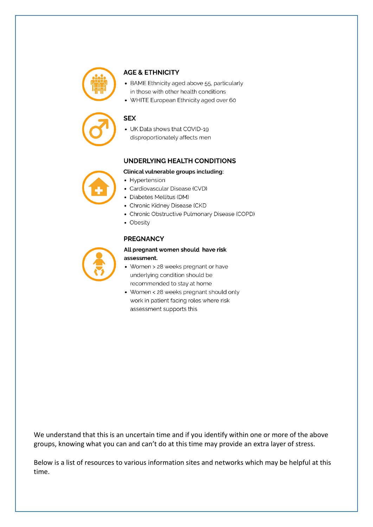

#### **AGE & ETHNICITY**

- BAME Ethnicity aged above 55, particularly in those with other health conditions
- WHITE European Ethnicity aged over 60

#### **SEX**

• UK Data shows that COVID-19 disproportionately affects men

#### UNDERLYING HEALTH CONDITIONS

#### Clinical vulnerable groups including:

- Hypertension
- Cardiovascular Disease (CVD)
- Diabetes Mellitus (DM)
- Chronic Kidney Disease (CKD
- Chronic Obstructive Pulmonary Disease (COPD)
- Obesity

#### **PREGNANCY**

#### All pregnant women should have risk assessment.

- Women > 28 weeks pregnant or have underlying condition should be recommended to stay at home
- Women < 28 weeks pregnant should only work in patient facing roles where risk assessment supports this

We understand that this is an uncertain time and if you identify within one or more of the above groups, knowing what you can and can't do at this time may provide an extra layer of stress.

Below is a list of resources to various information sites and networks which may be helpful at this time.

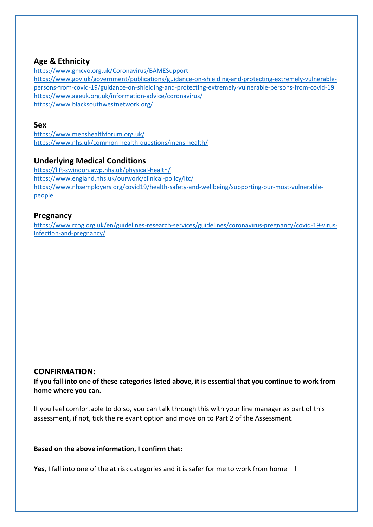# **Age & Ethnicity**

<https://www.gmcvo.org.uk/Coronavirus/BAMESupport> [https://www.gov.uk/government/publications/guidance-on-shielding-and-protecting-extremely-vulnerable](https://www.gov.uk/government/publications/guidance-on-shielding-and-protecting-extremely-vulnerable-persons-from-covid-19/guidance-on-shielding-and-protecting-extremely-vulnerable-persons-from-covid-19)[persons-from-covid-19/guidance-on-shielding-and-protecting-extremely-vulnerable-persons-from-covid-19](https://www.gov.uk/government/publications/guidance-on-shielding-and-protecting-extremely-vulnerable-persons-from-covid-19/guidance-on-shielding-and-protecting-extremely-vulnerable-persons-from-covid-19) <https://www.ageuk.org.uk/information-advice/coronavirus/> <https://www.blacksouthwestnetwork.org/>

#### **Sex**

<https://www.menshealthforum.org.uk/> <https://www.nhs.uk/common-health-questions/mens-health/>

# **Underlying Medical Conditions**

<https://lift-swindon.awp.nhs.uk/physical-health/> <https://www.england.nhs.uk/ourwork/clinical-policy/ltc/> [https://www.nhsemployers.org/covid19/health-safety-and-wellbeing/supporting-our-most-vulnerable](https://www.nhsemployers.org/covid19/health-safety-and-wellbeing/supporting-our-most-vulnerable-people)[people](https://www.nhsemployers.org/covid19/health-safety-and-wellbeing/supporting-our-most-vulnerable-people)

# **Pregnancy**

[https://www.rcog.org.uk/en/guidelines-research-services/guidelines/coronavirus-pregnancy/covid-19-virus](https://www.rcog.org.uk/en/guidelines-research-services/guidelines/coronavirus-pregnancy/covid-19-virus-infection-and-pregnancy/)[infection-and-pregnancy/](https://www.rcog.org.uk/en/guidelines-research-services/guidelines/coronavirus-pregnancy/covid-19-virus-infection-and-pregnancy/)

## **CONFIRMATION:**

**If you fall into one of these categories listed above, it is essential that you continue to work from home where you can.** 

If you feel comfortable to do so, you can talk through this with your line manager as part of this assessment, if not, tick the relevant option and move on to Part 2 of the Assessment.

#### **Based on the above information, I confirm that:**

**Yes,** I fall into one of the at risk categories and it is safer for me to work from home  $\Box$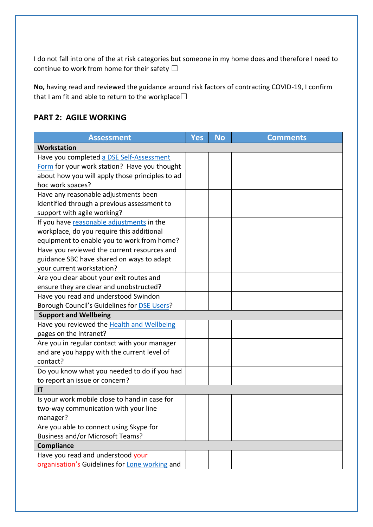I do not fall into one of the at risk categories but someone in my home does and therefore I need to continue to work from home for their safety  $\Box$ 

**No,** having read and reviewed the guidance around risk factors of contracting COVID-19, I confirm that I am fit and able to return to the workplace $\Box$ 

# **PART 2: AGILE WORKING**

| <b>Assessment</b>                                 | Yes | <b>No</b> | <b>Comments</b> |  |  |  |
|---------------------------------------------------|-----|-----------|-----------------|--|--|--|
| Workstation                                       |     |           |                 |  |  |  |
| Have you completed a DSE Self-Assessment          |     |           |                 |  |  |  |
| Form for your work station? Have you thought      |     |           |                 |  |  |  |
| about how you will apply those principles to ad   |     |           |                 |  |  |  |
| hoc work spaces?                                  |     |           |                 |  |  |  |
| Have any reasonable adjustments been              |     |           |                 |  |  |  |
| identified through a previous assessment to       |     |           |                 |  |  |  |
| support with agile working?                       |     |           |                 |  |  |  |
| If you have reasonable adjustments in the         |     |           |                 |  |  |  |
| workplace, do you require this additional         |     |           |                 |  |  |  |
| equipment to enable you to work from home?        |     |           |                 |  |  |  |
| Have you reviewed the current resources and       |     |           |                 |  |  |  |
| guidance SBC have shared on ways to adapt         |     |           |                 |  |  |  |
| your current workstation?                         |     |           |                 |  |  |  |
| Are you clear about your exit routes and          |     |           |                 |  |  |  |
| ensure they are clear and unobstructed?           |     |           |                 |  |  |  |
| Have you read and understood Swindon              |     |           |                 |  |  |  |
| Borough Council's Guidelines for DSE Users?       |     |           |                 |  |  |  |
| <b>Support and Wellbeing</b>                      |     |           |                 |  |  |  |
| Have you reviewed the <b>Health and Wellbeing</b> |     |           |                 |  |  |  |
| pages on the intranet?                            |     |           |                 |  |  |  |
| Are you in regular contact with your manager      |     |           |                 |  |  |  |
| and are you happy with the current level of       |     |           |                 |  |  |  |
| contact?                                          |     |           |                 |  |  |  |
| Do you know what you needed to do if you had      |     |           |                 |  |  |  |
| to report an issue or concern?                    |     |           |                 |  |  |  |
| IT                                                |     |           |                 |  |  |  |
| Is your work mobile close to hand in case for     |     |           |                 |  |  |  |
| two-way communication with your line              |     |           |                 |  |  |  |
| manager?                                          |     |           |                 |  |  |  |
| Are you able to connect using Skype for           |     |           |                 |  |  |  |
| <b>Business and/or Microsoft Teams?</b>           |     |           |                 |  |  |  |
| <b>Compliance</b>                                 |     |           |                 |  |  |  |
| Have you read and understood your                 |     |           |                 |  |  |  |
| organisation's Guidelines for Lone working and    |     |           |                 |  |  |  |